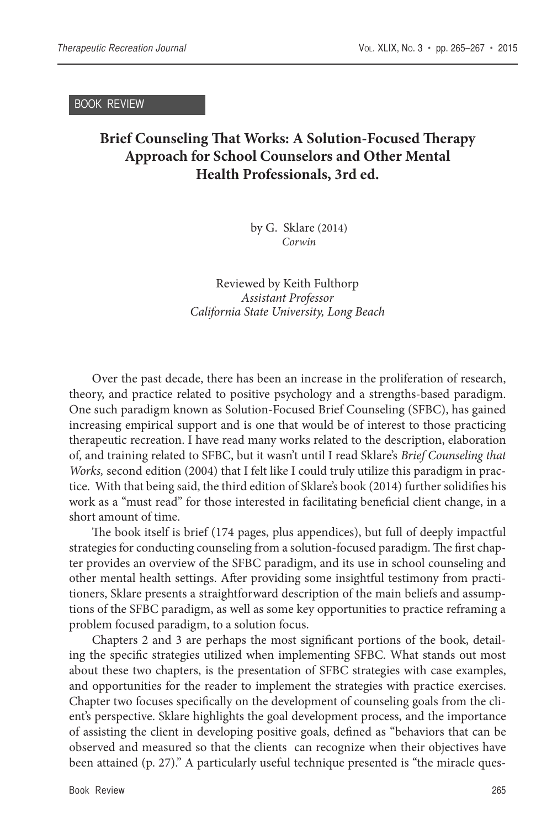BOOK REVIEW

## **Brief Counseling That Works: A Solution-Focused Therapy Approach for School Counselors and Other Mental Health Professionals, 3rd ed.**

by G. Sklare (2014) *Corwin*

Reviewed by Keith Fulthorp *Assistant Professor California State University, Long Beach*

Over the past decade, there has been an increase in the proliferation of research, theory, and practice related to positive psychology and a strengths-based paradigm. One such paradigm known as Solution-Focused Brief Counseling (SFBC), has gained increasing empirical support and is one that would be of interest to those practicing therapeutic recreation. I have read many works related to the description, elaboration of, and training related to SFBC, but it wasn't until I read Sklare's *Brief Counseling that Works,* second edition (2004) that I felt like I could truly utilize this paradigm in practice. With that being said, the third edition of Sklare's book (2014) further solidifies his work as a "must read" for those interested in facilitating beneficial client change, in a short amount of time.

The book itself is brief (174 pages, plus appendices), but full of deeply impactful strategies for conducting counseling from a solution-focused paradigm. The first chapter provides an overview of the SFBC paradigm, and its use in school counseling and other mental health settings. After providing some insightful testimony from practitioners, Sklare presents a straightforward description of the main beliefs and assumptions of the SFBC paradigm, as well as some key opportunities to practice reframing a problem focused paradigm, to a solution focus.

Chapters 2 and 3 are perhaps the most significant portions of the book, detailing the specific strategies utilized when implementing SFBC. What stands out most about these two chapters, is the presentation of SFBC strategies with case examples, and opportunities for the reader to implement the strategies with practice exercises. Chapter two focuses specifically on the development of counseling goals from the client's perspective. Sklare highlights the goal development process, and the importance of assisting the client in developing positive goals, defined as "behaviors that can be observed and measured so that the clients can recognize when their objectives have been attained (p. 27)." A particularly useful technique presented is "the miracle ques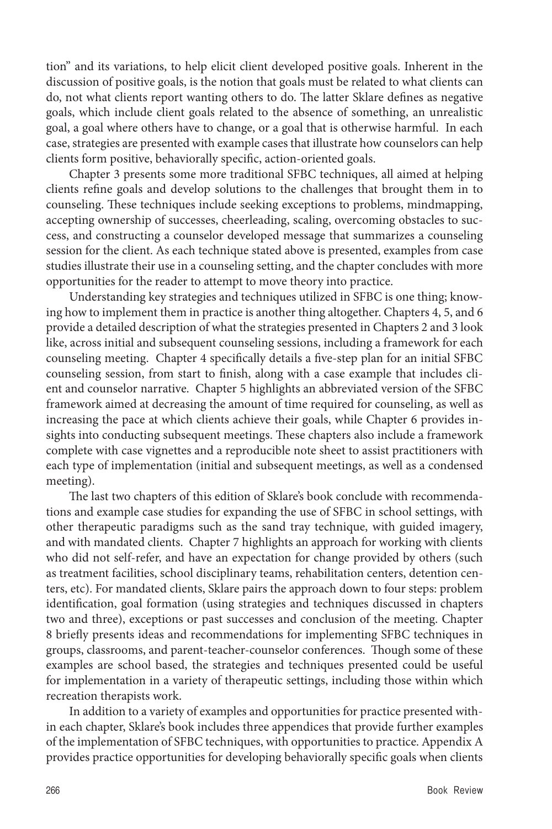tion" and its variations, to help elicit client developed positive goals. Inherent in the discussion of positive goals, is the notion that goals must be related to what clients can do, not what clients report wanting others to do. The latter Sklare defines as negative goals, which include client goals related to the absence of something, an unrealistic goal, a goal where others have to change, or a goal that is otherwise harmful. In each case, strategies are presented with example cases that illustrate how counselors can help clients form positive, behaviorally specific, action-oriented goals.

Chapter 3 presents some more traditional SFBC techniques, all aimed at helping clients refine goals and develop solutions to the challenges that brought them in to counseling. These techniques include seeking exceptions to problems, mindmapping, accepting ownership of successes, cheerleading, scaling, overcoming obstacles to success, and constructing a counselor developed message that summarizes a counseling session for the client. As each technique stated above is presented, examples from case studies illustrate their use in a counseling setting, and the chapter concludes with more opportunities for the reader to attempt to move theory into practice.

Understanding key strategies and techniques utilized in SFBC is one thing; knowing how to implement them in practice is another thing altogether. Chapters 4, 5, and 6 provide a detailed description of what the strategies presented in Chapters 2 and 3 look like, across initial and subsequent counseling sessions, including a framework for each counseling meeting. Chapter 4 specifically details a five-step plan for an initial SFBC counseling session, from start to finish, along with a case example that includes client and counselor narrative. Chapter 5 highlights an abbreviated version of the SFBC framework aimed at decreasing the amount of time required for counseling, as well as increasing the pace at which clients achieve their goals, while Chapter 6 provides insights into conducting subsequent meetings. These chapters also include a framework complete with case vignettes and a reproducible note sheet to assist practitioners with each type of implementation (initial and subsequent meetings, as well as a condensed meeting).

The last two chapters of this edition of Sklare's book conclude with recommendations and example case studies for expanding the use of SFBC in school settings, with other therapeutic paradigms such as the sand tray technique, with guided imagery, and with mandated clients. Chapter 7 highlights an approach for working with clients who did not self-refer, and have an expectation for change provided by others (such as treatment facilities, school disciplinary teams, rehabilitation centers, detention centers, etc). For mandated clients, Sklare pairs the approach down to four steps: problem identification, goal formation (using strategies and techniques discussed in chapters two and three), exceptions or past successes and conclusion of the meeting. Chapter 8 briefly presents ideas and recommendations for implementing SFBC techniques in groups, classrooms, and parent-teacher-counselor conferences. Though some of these examples are school based, the strategies and techniques presented could be useful for implementation in a variety of therapeutic settings, including those within which recreation therapists work.

In addition to a variety of examples and opportunities for practice presented within each chapter, Sklare's book includes three appendices that provide further examples of the implementation of SFBC techniques, with opportunities to practice. Appendix A provides practice opportunities for developing behaviorally specific goals when clients